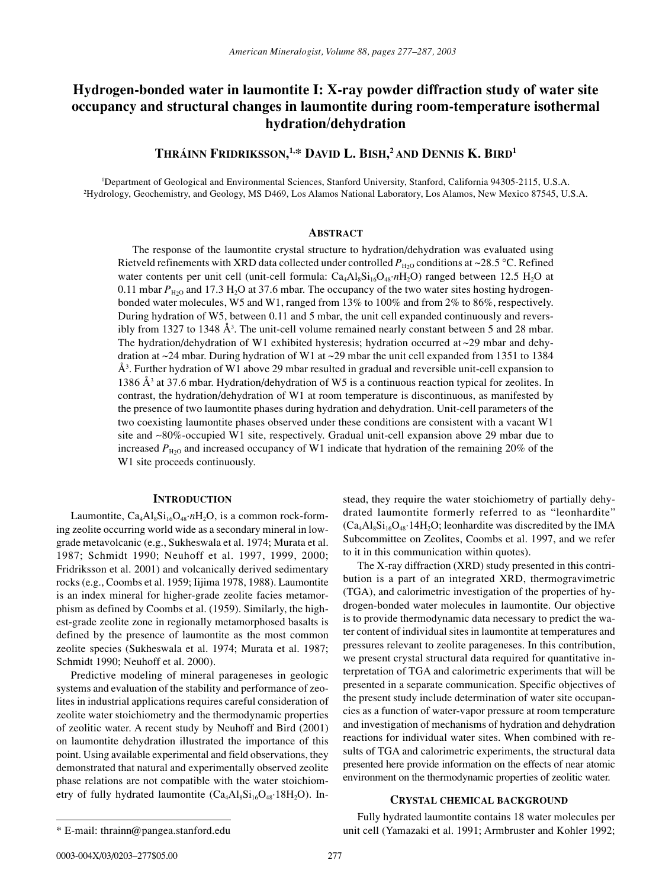# **Hydrogen-bonded water in laumontite I: X-ray powder diffraction study of water site occupancy and structural changes in laumontite during room-temperature isothermal hydration/dehydration**

**THRÁINN FRIDRIKSSON, 1,\* DAVID L. BISH, 2 AND DENNIS K. BIRD1**

1 Department of Geological and Environmental Sciences, Stanford University, Stanford, California 94305-2115, U.S.A. 2 Hydrology, Geochemistry, and Geology, MS D469, Los Alamos National Laboratory, Los Alamos, New Mexico 87545, U.S.A.

#### **ABSTRACT**

The response of the laumontite crystal structure to hydration/dehydration was evaluated using Rietveld refinements with XRD data collected under controlled  $P_{H2O}$  conditions at ~28.5 °C. Refined water contents per unit cell (unit-cell formula: Ca<sub>4</sub>Al<sub>8</sub>Si<sub>16</sub>O<sub>48</sub>·*n*H<sub>2</sub>O) ranged between 12.5 H<sub>2</sub>O at 0.11 mbar  $P_{\text{H}_2\text{O}}$  and 17.3 H<sub>2</sub>O at 37.6 mbar. The occupancy of the two water sites hosting hydrogenbonded water molecules, W5 and W1, ranged from 13% to 100% and from 2% to 86%, respectively. During hydration of W5, between 0.11 and 5 mbar, the unit cell expanded continuously and reversibly from 1327 to 1348 Å<sup>3</sup>. The unit-cell volume remained nearly constant between 5 and 28 mbar. The hydration/dehydration of W1 exhibited hysteresis; hydration occurred at ~29 mbar and dehydration at ~24 mbar. During hydration of W1 at ~29 mbar the unit cell expanded from 1351 to 1384 Å3 . Further hydration of W1 above 29 mbar resulted in gradual and reversible unit-cell expansion to 1386 Å3 at 37.6 mbar. Hydration/dehydration of W5 is a continuous reaction typical for zeolites. In contrast, the hydration/dehydration of W1 at room temperature is discontinuous, as manifested by the presence of two laumontite phases during hydration and dehydration. Unit-cell parameters of the two coexisting laumontite phases observed under these conditions are consistent with a vacant W1 site and ~80%-occupied W1 site, respectively. Gradual unit-cell expansion above 29 mbar due to increased  $P_{\text{H}_2O}$  and increased occupancy of W1 indicate that hydration of the remaining 20% of the W1 site proceeds continuously.

# **INTRODUCTION**

Laumontite,  $Ca_4Al_8Si_{16}O_{48} \cdot nH_2O$ , is a common rock-forming zeolite occurring world wide as a secondary mineral in lowgrade metavolcanic (e.g., Sukheswala et al. 1974; Murata et al. 1987; Schmidt 1990; Neuhoff et al. 1997, 1999, 2000; Fridriksson et al. 2001) and volcanically derived sedimentary rocks (e.g., Coombs et al. 1959; Iijima 1978, 1988). Laumontite is an index mineral for higher-grade zeolite facies metamorphism as defined by Coombs et al. (1959). Similarly, the highest-grade zeolite zone in regionally metamorphosed basalts is defined by the presence of laumontite as the most common zeolite species (Sukheswala et al. 1974; Murata et al. 1987; Schmidt 1990; Neuhoff et al. 2000).

Predictive modeling of mineral parageneses in geologic systems and evaluation of the stability and performance of zeolites in industrial applications requires careful consideration of zeolite water stoichiometry and the thermodynamic properties of zeolitic water. A recent study by Neuhoff and Bird (2001) on laumontite dehydration illustrated the importance of this point. Using available experimental and field observations, they demonstrated that natural and experimentally observed zeolite phase relations are not compatible with the water stoichiometry of fully hydrated laumontite  $(Ca_4Al_8Si_{16}O_{48}\cdot 18H_2O)$ . Instead, they require the water stoichiometry of partially dehydrated laumontite formerly referred to as "leonhardite"  $(Ca_4Al_8Si_{16}O_{48}.14H_2O$ ; leonhardite was discredited by the IMA Subcommittee on Zeolites, Coombs et al. 1997, and we refer to it in this communication within quotes).

The X-ray diffraction (XRD) study presented in this contribution is a part of an integrated XRD, thermogravimetric (TGA), and calorimetric investigation of the properties of hydrogen-bonded water molecules in laumontite. Our objective is to provide thermodynamic data necessary to predict the water content of individual sites in laumontite at temperatures and pressures relevant to zeolite parageneses. In this contribution, we present crystal structural data required for quantitative interpretation of TGA and calorimetric experiments that will be presented in a separate communication. Specific objectives of the present study include determination of water site occupancies as a function of water-vapor pressure at room temperature and investigation of mechanisms of hydration and dehydration reactions for individual water sites. When combined with results of TGA and calorimetric experiments, the structural data presented here provide information on the effects of near atomic environment on the thermodynamic properties of zeolitic water.

#### **CRYSTAL CHEMICAL BACKGROUND**

Fully hydrated laumontite contains 18 water molecules per unit cell (Yamazaki et al. 1991; Armbruster and Kohler 1992;

<sup>\*</sup> E-mail: thrainn@pangea.stanford.edu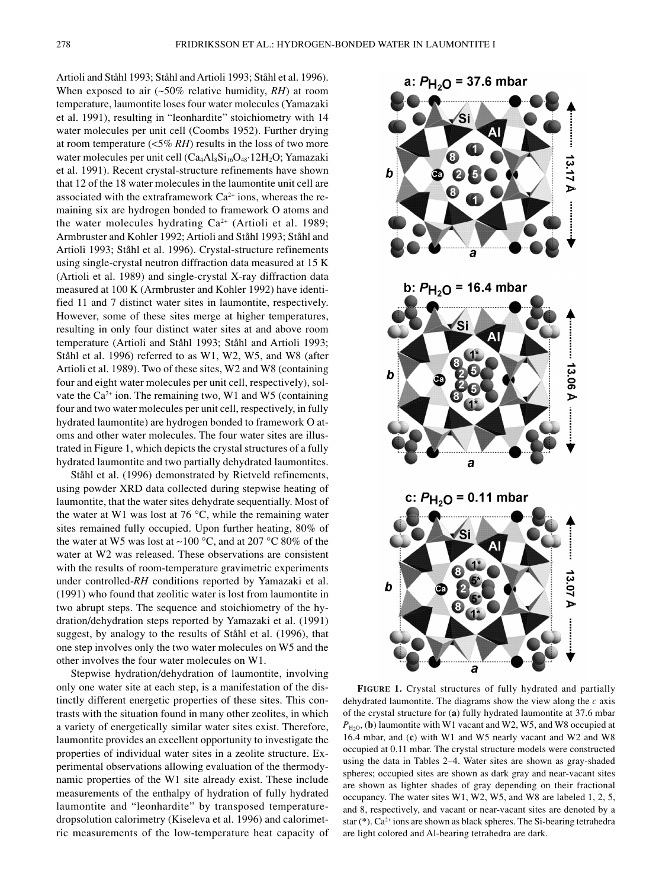Artioli and Ståhl 1993; Ståhl and Artioli 1993; Ståhl et al. 1996). When exposed to air (~50% relative humidity, *RH*) at room temperature, laumontite loses four water molecules (Yamazaki et al. 1991), resulting in "leonhardite" stoichiometry with 14 water molecules per unit cell (Coombs 1952). Further drying at room temperature (<5% *RH*) results in the loss of two more water molecules per unit cell  $(Ca_4Al_8Si_{16}O_{48}\cdot 12H_2O; Yamazaki$ et al. 1991). Recent crystal-structure refinements have shown that 12 of the 18 water molecules in the laumontite unit cell are associated with the extraframework  $Ca<sup>2+</sup>$  ions, whereas the remaining six are hydrogen bonded to framework O atoms and the water molecules hydrating  $Ca^{2+}$  (Artioli et al. 1989; Armbruster and Kohler 1992; Artioli and Ståhl 1993; Ståhl and Artioli 1993; Ståhl et al. 1996). Crystal-structure refinements using single-crystal neutron diffraction data measured at 15 K (Artioli et al. 1989) and single-crystal X-ray diffraction data measured at 100 K (Armbruster and Kohler 1992) have identified 11 and 7 distinct water sites in laumontite, respectively. However, some of these sites merge at higher temperatures, resulting in only four distinct water sites at and above room temperature (Artioli and Ståhl 1993; Ståhl and Artioli 1993; Ståhl et al. 1996) referred to as W1, W2, W5, and W8 (after Artioli et al. 1989). Two of these sites, W2 and W8 (containing four and eight water molecules per unit cell, respectively), solvate the  $Ca^{2+}$  ion. The remaining two, W1 and W5 (containing four and two water molecules per unit cell, respectively, in fully hydrated laumontite) are hydrogen bonded to framework O atoms and other water molecules. The four water sites are illustrated in Figure 1, which depicts the crystal structures of a fully hydrated laumontite and two partially dehydrated laumontites.

Ståhl et al. (1996) demonstrated by Rietveld refinements, using powder XRD data collected during stepwise heating of laumontite, that the water sites dehydrate sequentially. Most of the water at W1 was lost at 76  $\degree$ C, while the remaining water sites remained fully occupied. Upon further heating, 80% of the water at W5 was lost at ~100  $\degree$ C, and at 207  $\degree$ C 80% of the water at W2 was released. These observations are consistent with the results of room-temperature gravimetric experiments under controlled-*RH* conditions reported by Yamazaki et al. (1991) who found that zeolitic water is lost from laumontite in two abrupt steps. The sequence and stoichiometry of the hydration/dehydration steps reported by Yamazaki et al. (1991) suggest, by analogy to the results of Ståhl et al. (1996), that one step involves only the two water molecules on W5 and the other involves the four water molecules on W1.

Stepwise hydration/dehydration of laumontite, involving only one water site at each step, is a manifestation of the distinctly different energetic properties of these sites. This contrasts with the situation found in many other zeolites, in which a variety of energetically similar water sites exist. Therefore, laumontite provides an excellent opportunity to investigate the properties of individual water sites in a zeolite structure. Experimental observations allowing evaluation of the thermodynamic properties of the W1 site already exist. These include measurements of the enthalpy of hydration of fully hydrated laumontite and "leonhardite" by transposed temperaturedropsolution calorimetry (Kiseleva et al. 1996) and calorimetric measurements of the low-temperature heat capacity of



**FIGURE 1.** Crystal structures of fully hydrated and partially dehydrated laumontite. The diagrams show the view along the *c* axis of the crystal structure for (**a**) fully hydrated laumontite at 37.6 mbar  $P_{\text{H2O}}$ , (**b**) laumontite with W1 vacant and W2, W5, and W8 occupied at 16.4 mbar, and (**c**) with W1 and W5 nearly vacant and W2 and W8 occupied at 0.11 mbar. The crystal structure models were constructed using the data in Tables 2–4. Water sites are shown as gray-shaded spheres; occupied sites are shown as dark gray and near-vacant sites are shown as lighter shades of gray depending on their fractional occupancy. The water sites W1, W2, W5, and W8 are labeled 1, 2, 5, and 8, respectively, and vacant or near-vacant sites are denoted by a star (\*). Ca<sup>2+</sup> ions are shown as black spheres. The Si-bearing tetrahedra are light colored and Al-bearing tetrahedra are dark.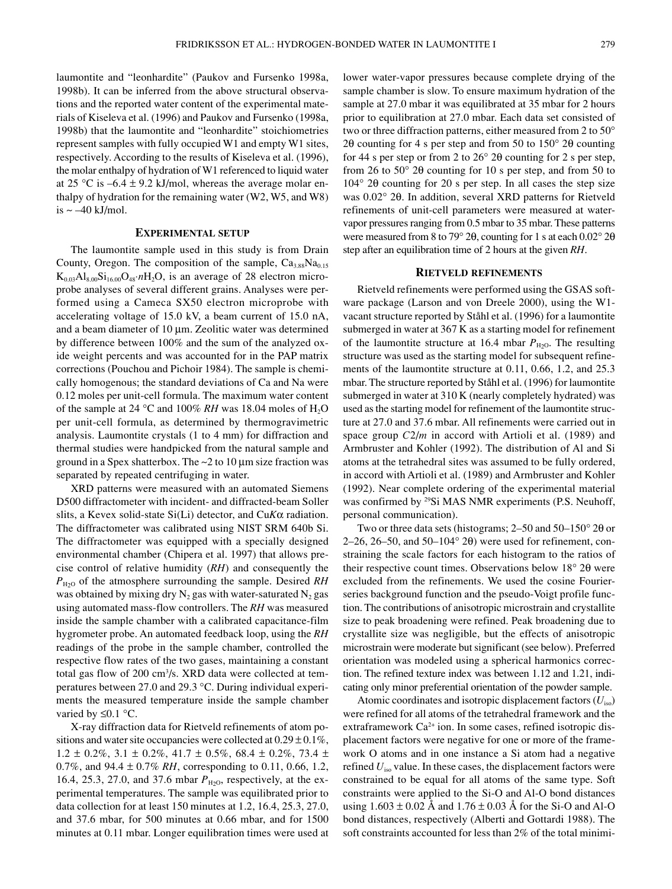laumontite and "leonhardite" (Paukov and Fursenko 1998a, 1998b). It can be inferred from the above structural observations and the reported water content of the experimental materials of Kiseleva et al. (1996) and Paukov and Fursenko (1998a, 1998b) that the laumontite and "leonhardite" stoichiometries represent samples with fully occupied W1 and empty W1 sites, respectively. According to the results of Kiseleva et al. (1996), the molar enthalpy of hydration of W1 referenced to liquid water at 25 °C is –6.4  $\pm$  9.2 kJ/mol, whereas the average molar enthalpy of hydration for the remaining water (W2, W5, and W8) is  $\sim -40$  kJ/mol.

#### **EXPERIMENTAL SETUP**

The laumontite sample used in this study is from Drain County, Oregon. The composition of the sample,  $Ca<sub>3.88</sub>Na<sub>0.15</sub>$  $K_{0.03}Al_{8.00}Si_{16.00}O_{48}$ *n*H<sub>2</sub>O, is an average of 28 electron microprobe analyses of several different grains. Analyses were performed using a Cameca SX50 electron microprobe with accelerating voltage of 15.0 kV, a beam current of 15.0 nA, and a beam diameter of  $10 \mu m$ . Zeolitic water was determined by difference between 100% and the sum of the analyzed oxide weight percents and was accounted for in the PAP matrix corrections (Pouchou and Pichoir 1984). The sample is chemically homogenous; the standard deviations of Ca and Na were 0.12 moles per unit-cell formula. The maximum water content of the sample at 24 °C and 100% *RH* was 18.04 moles of  $H_2O$ per unit-cell formula, as determined by thermogravimetric analysis. Laumontite crystals (1 to 4 mm) for diffraction and thermal studies were handpicked from the natural sample and ground in a Spex shatterbox. The  $\sim$ 2 to 10 µm size fraction was separated by repeated centrifuging in water.

XRD patterns were measured with an automated Siemens D500 diffractometer with incident- and diffracted-beam Soller slits, a Kevex solid-state Si(Li) detector, and Cu*K*a radiation. The diffractometer was calibrated using NIST SRM 640b Si. The diffractometer was equipped with a specially designed environmental chamber (Chipera et al. 1997) that allows precise control of relative humidity (*RH*) and consequently the  $P_{H2O}$  of the atmosphere surrounding the sample. Desired *RH* was obtained by mixing dry  $N_2$  gas with water-saturated  $N_2$  gas using automated mass-flow controllers. The *RH* was measured inside the sample chamber with a calibrated capacitance-film hygrometer probe. An automated feedback loop, using the *RH* readings of the probe in the sample chamber, controlled the respective flow rates of the two gases, maintaining a constant total gas flow of 200 cm<sup>3</sup>/s. XRD data were collected at temperatures between 27.0 and 29.3 ∞C. During individual experiments the measured temperature inside the sample chamber varied by  $\leq 0.1$  °C.

X-ray diffraction data for Rietveld refinements of atom positions and water site occupancies were collected at  $0.29 \pm 0.1\%$ ,  $1.2 \pm 0.2\%$ ,  $3.1 \pm 0.2\%$ ,  $41.7 \pm 0.5\%$ ,  $68.4 \pm 0.2\%$ ,  $73.4 \pm 1.7\%$ 0.7%, and 94.4 ± 0.7% *RH*, corresponding to 0.11, 0.66, 1.2, 16.4, 25.3, 27.0, and 37.6 mbar  $P_{\text{H}_2\text{O}}$ , respectively, at the experimental temperatures. The sample was equilibrated prior to data collection for at least 150 minutes at 1.2, 16.4, 25.3, 27.0, and 37.6 mbar, for 500 minutes at 0.66 mbar, and for 1500 minutes at 0.11 mbar. Longer equilibration times were used at lower water-vapor pressures because complete drying of the sample chamber is slow. To ensure maximum hydration of the sample at 27.0 mbar it was equilibrated at 35 mbar for 2 hours prior to equilibration at 27.0 mbar. Each data set consisted of two or three diffraction patterns, either measured from 2 to 50∞ 2 $\theta$  counting for 4 s per step and from 50 to 150 $\degree$  2 $\theta$  counting for 44 s per step or from 2 to  $26^{\circ}$  2 $\theta$  counting for 2 s per step, from 26 to  $50^{\circ}$  2 $\theta$  counting for 10 s per step, and from 50 to 104∞ 2q counting for 20 s per step. In all cases the step size was 0.02° 20. In addition, several XRD patterns for Rietveld refinements of unit-cell parameters were measured at watervapor pressures ranging from 0.5 mbar to 35 mbar. These patterns were measured from 8 to 79 $^{\circ}$  2 $\theta$ , counting for 1 s at each 0.02 $^{\circ}$  2 $\theta$ step after an equilibration time of 2 hours at the given *RH*.

## **RIETVELD REFINEMENTS**

Rietveld refinements were performed using the GSAS software package (Larson and von Dreele 2000), using the W1 vacant structure reported by Ståhl et al. (1996) for a laumontite submerged in water at 367 K as a starting model for refinement of the laumontite structure at 16.4 mbar  $P_{H2O}$ . The resulting structure was used as the starting model for subsequent refinements of the laumontite structure at 0.11, 0.66, 1.2, and 25.3 mbar. The structure reported by Ståhl et al. (1996) for laumontite submerged in water at 310 K (nearly completely hydrated) was used as the starting model for refinement of the laumontite structure at 27.0 and 37.6 mbar. All refinements were carried out in space group *C*2/*m* in accord with Artioli et al. (1989) and Armbruster and Kohler (1992). The distribution of Al and Si atoms at the tetrahedral sites was assumed to be fully ordered, in accord with Artioli et al. (1989) and Armbruster and Kohler (1992). Near complete ordering of the experimental material was confirmed by <sup>29</sup>Si MAS NMR experiments (P.S. Neuhoff, personal communication).

Two or three data sets (histograms;  $2-50$  and  $50-150^{\circ}$  2 $\theta$  or 2–26, 26–50, and 50–104 $^{\circ}$  2 $\theta$ ) were used for refinement, constraining the scale factors for each histogram to the ratios of their respective count times. Observations below  $18° 2\theta$  were excluded from the refinements. We used the cosine Fourierseries background function and the pseudo-Voigt profile function. The contributions of anisotropic microstrain and crystallite size to peak broadening were refined. Peak broadening due to crystallite size was negligible, but the effects of anisotropic microstrain were moderate but significant (see below). Preferred orientation was modeled using a spherical harmonics correction. The refined texture index was between 1.12 and 1.21, indicating only minor preferential orientation of the powder sample.

Atomic coordinates and isotropic displacement factors (*U*iso) were refined for all atoms of the tetrahedral framework and the extraframework Ca<sup>2+</sup> ion. In some cases, refined isotropic displacement factors were negative for one or more of the framework O atoms and in one instance a Si atom had a negative refined *U*iso value. In these cases, the displacement factors were constrained to be equal for all atoms of the same type. Soft constraints were applied to the Si-O and Al-O bond distances using  $1.603 \pm 0.02$  Å and  $1.76 \pm 0.03$  Å for the Si-O and Al-O bond distances, respectively (Alberti and Gottardi 1988). The soft constraints accounted for less than 2% of the total minimi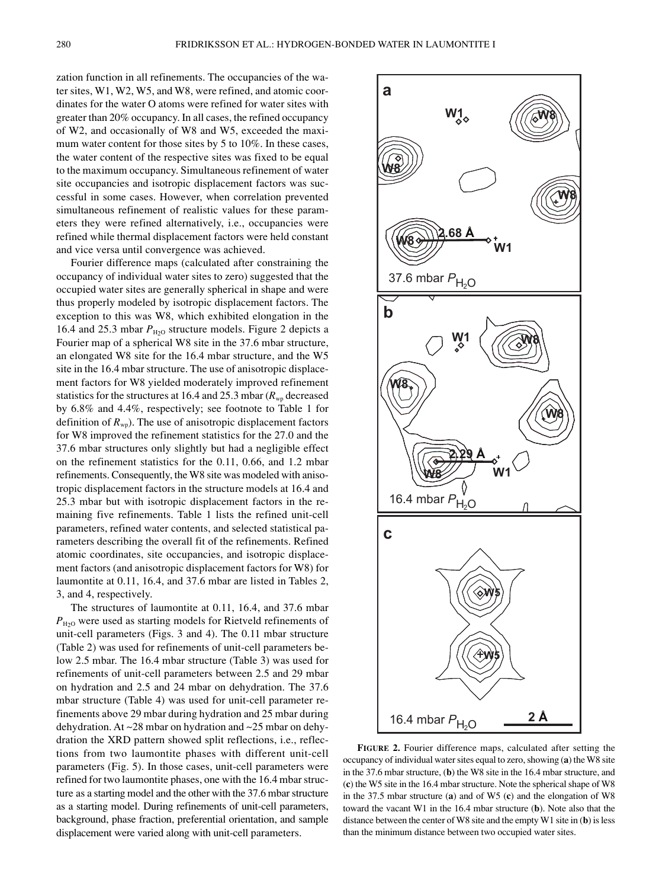zation function in all refinements. The occupancies of the water sites, W1, W2, W5, and W8, were refined, and atomic coordinates for the water O atoms were refined for water sites with greater than 20% occupancy. In all cases, the refined occupancy of W2, and occasionally of W8 and W5, exceeded the maximum water content for those sites by 5 to 10%. In these cases, the water content of the respective sites was fixed to be equal to the maximum occupancy. Simultaneous refinement of water site occupancies and isotropic displacement factors was successful in some cases. However, when correlation prevented simultaneous refinement of realistic values for these parameters they were refined alternatively, i.e., occupancies were refined while thermal displacement factors were held constant and vice versa until convergence was achieved.

Fourier difference maps (calculated after constraining the occupancy of individual water sites to zero) suggested that the occupied water sites are generally spherical in shape and were thus properly modeled by isotropic displacement factors. The exception to this was W8, which exhibited elongation in the 16.4 and 25.3 mbar  $P_{\text{H}_2O}$  structure models. Figure 2 depicts a Fourier map of a spherical W8 site in the 37.6 mbar structure, an elongated W8 site for the 16.4 mbar structure, and the W5 site in the 16.4 mbar structure. The use of anisotropic displacement factors for W8 yielded moderately improved refinement statistics for the structures at 16.4 and 25.3 mbar ( $R_{wp}$  decreased by 6.8% and 4.4%, respectively; see footnote to Table 1 for definition of  $R_{\text{wo}}$ ). The use of anisotropic displacement factors for W8 improved the refinement statistics for the 27.0 and the 37.6 mbar structures only slightly but had a negligible effect on the refinement statistics for the 0.11, 0.66, and 1.2 mbar refinements. Consequently, the W8 site was modeled with anisotropic displacement factors in the structure models at 16.4 and 25.3 mbar but with isotropic displacement factors in the remaining five refinements. Table 1 lists the refined unit-cell parameters, refined water contents, and selected statistical parameters describing the overall fit of the refinements. Refined atomic coordinates, site occupancies, and isotropic displacement factors (and anisotropic displacement factors for W8) for laumontite at 0.11, 16.4, and 37.6 mbar are listed in Tables 2, 3, and 4, respectively.

The structures of laumontite at 0.11, 16.4, and 37.6 mbar  $P_{H2O}$  were used as starting models for Rietveld refinements of unit-cell parameters (Figs. 3 and 4). The 0.11 mbar structure (Table 2) was used for refinements of unit-cell parameters below 2.5 mbar. The 16.4 mbar structure (Table 3) was used for refinements of unit-cell parameters between 2.5 and 29 mbar on hydration and 2.5 and 24 mbar on dehydration. The 37.6 mbar structure (Table 4) was used for unit-cell parameter refinements above 29 mbar during hydration and 25 mbar during dehydration. At ~28 mbar on hydration and ~25 mbar on dehydration the XRD pattern showed split reflections, i.e., reflections from two laumontite phases with different unit-cell parameters (Fig. 5). In those cases, unit-cell parameters were refined for two laumontite phases, one with the 16.4 mbar structure as a starting model and the other with the 37.6 mbar structure as a starting model. During refinements of unit-cell parameters, background, phase fraction, preferential orientation, and sample displacement were varied along with unit-cell parameters.



**FIGURE 2.** Fourier difference maps, calculated after setting the occupancy of individual water sites equal to zero, showing (**a**) the W8 site in the 37.6 mbar structure, (**b**) the W8 site in the 16.4 mbar structure, and (**c**) the W5 site in the 16.4 mbar structure. Note the spherical shape of W8 in the 37.5 mbar structure (**a**) and of W5 (**c**) and the elongation of W8 toward the vacant W1 in the 16.4 mbar structure (**b**). Note also that the distance between the center of W8 site and the empty W1 site in (**b**) is less than the minimum distance between two occupied water sites.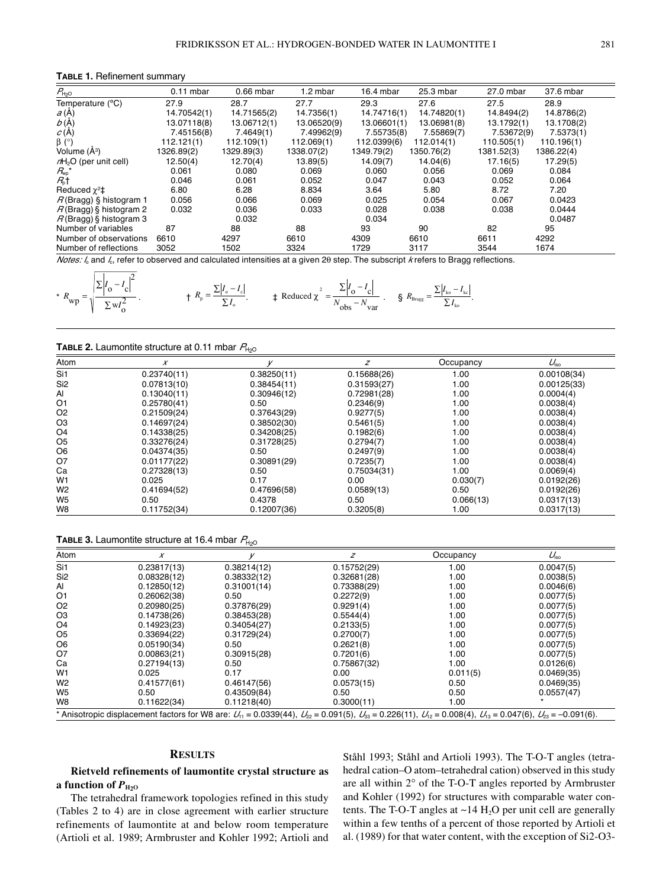#### **TABLE 1.** Refinement summary

| $P_{H20}$                 | $0.11$ mbar | $0.66$ mbar | 1.2 mbar    | $16.4$ mbar | 25.3 mbar   | 27.0 mbar  | 37.6 mbar  |
|---------------------------|-------------|-------------|-------------|-------------|-------------|------------|------------|
| Temperature (°C)          | 27.9        | 28.7        | 27.7        | 29.3        | 27.6        | 27.5       | 28.9       |
| a(A)                      | 14.70542(1) | 14.71565(2) | 14.7356(1)  | 14.74716(1) | 14.74820(1) | 14.8494(2) | 14.8786(2) |
| b(A)                      | 13.07118(8) | 13.06712(1) | 13.06520(9) | 13.06601(1) | 13.06981(8) | 13.1792(1) | 13.1708(2) |
| C(A)                      | 7.45156(8)  | 7.4649(1)   | 7.49962(9)  | 7.55735(8)  | 7.55869(7)  | 7.53672(9) | 7.5373(1)  |
| $\beta$ (°)               | 112.121(1)  | 112.109(1)  | 112.069(1)  | 112.0399(6) | 112.014(1)  | 110.505(1) | 110.196(1) |
| Volume (Å <sup>3</sup> )  | 1326.89(2)  | 1329.89(3)  | 1338.07(2)  | 1349.79(2)  | 1350.76(2)  | 1381.52(3) | 1386.22(4) |
| $nH2O$ (per unit cell)    | 12.50(4)    | 12.70(4)    | 13.89(5)    | 14.09(7)    | 14.04(6)    | 17.16(5)   | 17.29(5)   |
| $R_{\rm wp}{}^\star$      | 0.061       | 0.080       | 0.069       | 0.060       | 0.056       | 0.069      | 0.084      |
| $R_1$                     | 0.046       | 0.061       | 0.052       | 0.047       | 0.043       | 0.052      | 0.064      |
| Reduced $\chi^2$ ‡        | 6.80        | 6.28        | 8.834       | 3.64        | 5.80        | 8.72       | 7.20       |
| $R$ (Bragg) § histogram 1 | 0.056       | 0.066       | 0.069       | 0.025       | 0.054       | 0.067      | 0.0423     |
| $R$ (Bragg) § histogram 2 | 0.032       | 0.036       | 0.033       | 0.028       | 0.038       | 0.038      | 0.0444     |
| $R$ (Bragg) § histogram 3 |             | 0.032       |             | 0.034       |             |            | 0.0487     |
| Number of variables       | 87          | 88          | 88          | 93          | 90          | 82         | 95         |
| Number of observations    | 6610        | 4297        | 6610        | 4309        | 6610        | 6611       | 4292       |
| Number of reflections     | 3052        | 1502        | 3324        | 1729        | 3117        | 3544       | 1674       |

Notes: I<sub>o</sub> and I<sub>c</sub>, refer to observed and calculated intensities at a given 20 step. The subscript *k* refers to Bragg reflections.

$$
{}^{*}R_{\text{wp}} = \sqrt{\frac{\sum |I_{o} - I_{c}|^2}{\sum w I_{o}^2}}.
$$
\n
$$
{}^{*}R_{\text{p}} = \frac{\sum |I_{o} - I_{c}|}{\sum I_{o}}.
$$
\n
$$
{}^{*}R_{\text{p}} = \frac{\sum |I_{o} - I_{c}|}{\sum I_{o}}.
$$
\n
$$
{}^{*}R_{\text{Bruge}} = \frac{\sum |I_{o} - I_{c}|}{N_{\text{obs}} - N_{\text{var}}}.
$$
\n
$$
S_{\text{Bruge}} = \frac{\sum |I_{\text{ho}} - I_{\text{kc}}|}{\sum I_{\text{ko}}}.
$$

**TABLE 2.** Laumontite structure at 0.11 mbar  $P_{H<sub>2</sub>O}$ 

 $\overline{a}$ 

| Atom            | X           |             | z           | Occupancy | $U_{\rm iso}$ |
|-----------------|-------------|-------------|-------------|-----------|---------------|
| Si1             | 0.23740(11) | 0.38250(11) | 0.15688(26) | 1.00      | 0.00108(34)   |
| Si <sub>2</sub> | 0.07813(10) | 0.38454(11) | 0.31593(27) | 1.00      | 0.00125(33)   |
| Al              | 0.13040(11) | 0.30946(12) | 0.72981(28) | 1.00      | 0.0004(4)     |
| O <sub>1</sub>  | 0.25780(41) | 0.50        | 0.2346(9)   | 1.00      | 0.0038(4)     |
| O <sub>2</sub>  | 0.21509(24) | 0.37643(29) | 0.9277(5)   | 1.00      | 0.0038(4)     |
| O <sub>3</sub>  | 0.14697(24) | 0.38502(30) | 0.5461(5)   | 1.00      | 0.0038(4)     |
| O <sub>4</sub>  | 0.14338(25) | 0.34208(25) | 0.1982(6)   | 1.00      | 0.0038(4)     |
| O <sub>5</sub>  | 0.33276(24) | 0.31728(25) | 0.2794(7)   | 1.00      | 0.0038(4)     |
| O <sub>6</sub>  | 0.04374(35) | 0.50        | 0.2497(9)   | 1.00      | 0.0038(4)     |
| O7              | 0.01177(22) | 0.30891(29) | 0.7235(7)   | 1.00      | 0.0038(4)     |
| Ca              | 0.27328(13) | 0.50        | 0.75034(31) | 1.00      | 0.0069(4)     |
| W <sub>1</sub>  | 0.025       | 0.17        | 0.00        | 0.030(7)  | 0.0192(26)    |
| W <sub>2</sub>  | 0.41694(52) | 0.47696(58) | 0.0589(13)  | 0.50      | 0.0192(26)    |
| W <sub>5</sub>  | 0.50        | 0.4378      | 0.50        | 0.066(13) | 0.0317(13)    |
| W8              | 0.11752(34) | 0.12007(36) | 0.3205(8)   | 1.00      | 0.0317(13)    |

**TABLE 3.** Laumontite structure at 16.4 mbar  $P_{\text{H2O}}$ 

| Atom                                                                                                                                                                                   | X           |             | z           | Occupancy | $U_{\rm{iso}}$ |
|----------------------------------------------------------------------------------------------------------------------------------------------------------------------------------------|-------------|-------------|-------------|-----------|----------------|
| Si1                                                                                                                                                                                    | 0.23817(13) | 0.38214(12) | 0.15752(29) | 1.00      | 0.0047(5)      |
| Si <sub>2</sub>                                                                                                                                                                        | 0.08328(12) | 0.38332(12) | 0.32681(28) | 1.00      | 0.0038(5)      |
| Al                                                                                                                                                                                     | 0.12850(12) | 0.31001(14) | 0.73388(29) | 1.00      | 0.0046(6)      |
| O <sub>1</sub>                                                                                                                                                                         | 0.26062(38) | 0.50        | 0.2272(9)   | 1.00      | 0.0077(5)      |
| O <sub>2</sub>                                                                                                                                                                         | 0.20980(25) | 0.37876(29) | 0.9291(4)   | 1.00      | 0.0077(5)      |
| O <sub>3</sub>                                                                                                                                                                         | 0.14738(26) | 0.38453(28) | 0.5544(4)   | 1.00      | 0.0077(5)      |
| O <sub>4</sub>                                                                                                                                                                         | 0.14923(23) | 0.34054(27) | 0.2133(5)   | 1.00      | 0.0077(5)      |
| O <sub>5</sub>                                                                                                                                                                         | 0.33694(22) | 0.31729(24) | 0.2700(7)   | 1.00      | 0.0077(5)      |
| O <sub>6</sub>                                                                                                                                                                         | 0.05190(34) | 0.50        | 0.2621(8)   | 1.00      | 0.0077(5)      |
| O7                                                                                                                                                                                     | 0.00863(21) | 0.30915(28) | 0.7201(6)   | 1.00      | 0.0077(5)      |
| Ca                                                                                                                                                                                     | 0.27194(13) | 0.50        | 0.75867(32) | 1.00      | 0.0126(6)      |
| W <sub>1</sub>                                                                                                                                                                         | 0.025       | 0.17        | 0.00        | 0.011(5)  | 0.0469(35)     |
| W <sub>2</sub>                                                                                                                                                                         | 0.41577(61) | 0.46147(56) | 0.0573(15)  | 0.50      | 0.0469(35)     |
| W <sub>5</sub>                                                                                                                                                                         | 0.50        | 0.43509(84) | 0.50        | 0.50      | 0.0557(47)     |
| W8                                                                                                                                                                                     | 0.11622(34) | 0.11218(40) | 0.3000(11)  | 1.00      |                |
| * Anisotropic displacement factors for W8 are: $U_{11} = 0.0339(44)$ , $U_{22} = 0.091(5)$ , $U_{33} = 0.226(11)$ , $U_{12} = 0.008(4)$ , $U_{13} = 0.047(6)$ , $U_{23} = -0.091(6)$ . |             |             |             |           |                |

#### **RESULTS**

**Rietveld refinements of laumontite crystal structure as a function of**  $P_{\text{H}_2\text{O}}$ 

The tetrahedral framework topologies refined in this study (Tables 2 to 4) are in close agreement with earlier structure refinements of laumontite at and below room temperature (Artioli et al. 1989; Armbruster and Kohler 1992; Artioli and Ståhl 1993; Ståhl and Artioli 1993). The T-O-T angles (tetrahedral cation–O atom–tetrahedral cation) observed in this study are all within 2∞ of the T-O-T angles reported by Armbruster and Kohler (1992) for structures with comparable water contents. The T-O-T angles at  $\sim$ 14 H<sub>2</sub>O per unit cell are generally within a few tenths of a percent of those reported by Artioli et al. (1989) for that water content, with the exception of Si2-O3-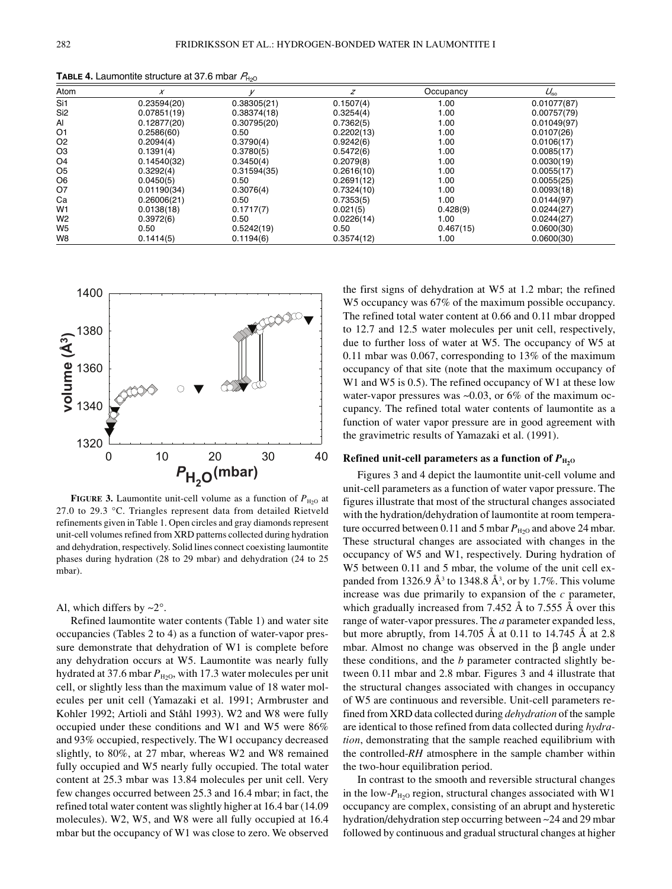| טציי            |             |             |            |           |               |
|-----------------|-------------|-------------|------------|-----------|---------------|
| Atom            | $\chi$      |             | z          | Occupancy | $U_{\rm iso}$ |
| Si1             | 0.23594(20) | 0.38305(21) | 0.1507(4)  | 1.00      | 0.01077(87)   |
| Si <sub>2</sub> | 0.07851(19) | 0.38374(18) | 0.3254(4)  | 1.00      | 0.00757(79)   |
| Al              | 0.12877(20) | 0.30795(20) | 0.7362(5)  | 1.00      | 0.01049(97)   |
| O1              | 0.2586(60)  | 0.50        | 0.2202(13) | 1.00      | 0.0107(26)    |
| O2              | 0.2094(4)   | 0.3790(4)   | 0.9242(6)  | 1.00      | 0.0106(17)    |
| O3              | 0.1391(4)   | 0.3780(5)   | 0.5472(6)  | 1.00      | 0.0085(17)    |
| O4              | 0.14540(32) | 0.3450(4)   | 0.2079(8)  | 1.00      | 0.0030(19)    |
| O5              | 0.3292(4)   | 0.31594(35) | 0.2616(10) | 1.00      | 0.0055(17)    |
| O6              | 0.0450(5)   | 0.50        | 0.2691(12) | 1.00      | 0.0055(25)    |
| 07              | 0.01190(34) | 0.3076(4)   | 0.7324(10) | 1.00      | 0.0093(18)    |
| Сa              | 0.26006(21) | 0.50        | 0.7353(5)  | 1.00      | 0.0144(97)    |
| W1              | 0.0138(18)  | 0.1717(7)   | 0.021(5)   | 0.428(9)  | 0.0244(27)    |
| W <sub>2</sub>  | 0.3972(6)   | 0.50        | 0.0226(14) | 1.00      | 0.0244(27)    |
| W <sub>5</sub>  | 0.50        | 0.5242(19)  | 0.50       | 0.467(15) | 0.0600(30)    |
| W8              | 0.1414(5)   | 0.1194(6)   | 0.3574(12) | 1.00      | 0.0600(30)    |
|                 |             |             |            |           |               |

**TABLE 4.** Laumontite structure at 37.6 mbar  $P_{\text{H}\alpha}$ 



**FIGURE 3.** Laumontite unit-cell volume as a function of  $P_{\text{H}_2O}$  at 27.0 to 29.3 ∞C. Triangles represent data from detailed Rietveld refinements given in Table 1. Open circles and gray diamonds represent unit-cell volumes refined from XRD patterns collected during hydration and dehydration, respectively. Solid lines connect coexisting laumontite phases during hydration (28 to 29 mbar) and dehydration (24 to 25 mbar).

### Al, which differs by  $\sim 2^\circ$ .

Refined laumontite water contents (Table 1) and water site occupancies (Tables 2 to 4) as a function of water-vapor pressure demonstrate that dehydration of W1 is complete before any dehydration occurs at W5. Laumontite was nearly fully hydrated at 37.6 mbar  $P_{\text{H}_2O}$ , with 17.3 water molecules per unit cell, or slightly less than the maximum value of 18 water molecules per unit cell (Yamazaki et al. 1991; Armbruster and Kohler 1992; Artioli and Ståhl 1993). W2 and W8 were fully occupied under these conditions and W1 and W5 were 86% and 93% occupied, respectively. The W1 occupancy decreased slightly, to 80%, at 27 mbar, whereas W2 and W8 remained fully occupied and W5 nearly fully occupied. The total water content at 25.3 mbar was 13.84 molecules per unit cell. Very few changes occurred between 25.3 and 16.4 mbar; in fact, the refined total water content was slightly higher at 16.4 bar (14.09 molecules). W2, W5, and W8 were all fully occupied at 16.4 mbar but the occupancy of W1 was close to zero. We observed the first signs of dehydration at W5 at 1.2 mbar; the refined W5 occupancy was 67% of the maximum possible occupancy. The refined total water content at 0.66 and 0.11 mbar dropped to 12.7 and 12.5 water molecules per unit cell, respectively, due to further loss of water at W5. The occupancy of W5 at 0.11 mbar was 0.067, corresponding to 13% of the maximum occupancy of that site (note that the maximum occupancy of W<sub>1</sub> and W<sub>5</sub> is 0.5). The refined occupancy of W<sub>1</sub> at these low water-vapor pressures was  $\sim 0.03$ , or 6% of the maximum occupancy. The refined total water contents of laumontite as a function of water vapor pressure are in good agreement with the gravimetric results of Yamazaki et al. (1991).

## **Refined unit-cell parameters as a function of**  $P_{\text{H}_2\text{O}}$

Figures 3 and 4 depict the laumontite unit-cell volume and unit-cell parameters as a function of water vapor pressure. The figures illustrate that most of the structural changes associated with the hydration/dehydration of laumontite at room temperature occurred between 0.11 and 5 mbar  $P_{H_2O}$  and above 24 mbar. These structural changes are associated with changes in the occupancy of W5 and W1, respectively. During hydration of W5 between 0.11 and 5 mbar, the volume of the unit cell expanded from 1326.9  $\AA$ <sup>3</sup> to 1348.8  $\AA$ <sup>3</sup>, or by 1.7%. This volume increase was due primarily to expansion of the *c* parameter, which gradually increased from 7.452 Å to 7.555 Å over this range of water-vapor pressures. The *a* parameter expanded less, but more abruptly, from 14.705 Å at 0.11 to 14.745 Å at 2.8 mbar. Almost no change was observed in the  $\beta$  angle under these conditions, and the *b* parameter contracted slightly between 0.11 mbar and 2.8 mbar. Figures 3 and 4 illustrate that the structural changes associated with changes in occupancy of W5 are continuous and reversible. Unit-cell parameters refined from XRD data collected during *dehydration* of the sample are identical to those refined from data collected during *hydration*, demonstrating that the sample reached equilibrium with the controlled-*RH* atmosphere in the sample chamber within the two-hour equilibration period.

In contrast to the smooth and reversible structural changes in the low- $P_{H<sub>2</sub>}$  region, structural changes associated with W1 occupancy are complex, consisting of an abrupt and hysteretic hydration/dehydration step occurring between ~24 and 29 mbar followed by continuous and gradual structural changes at higher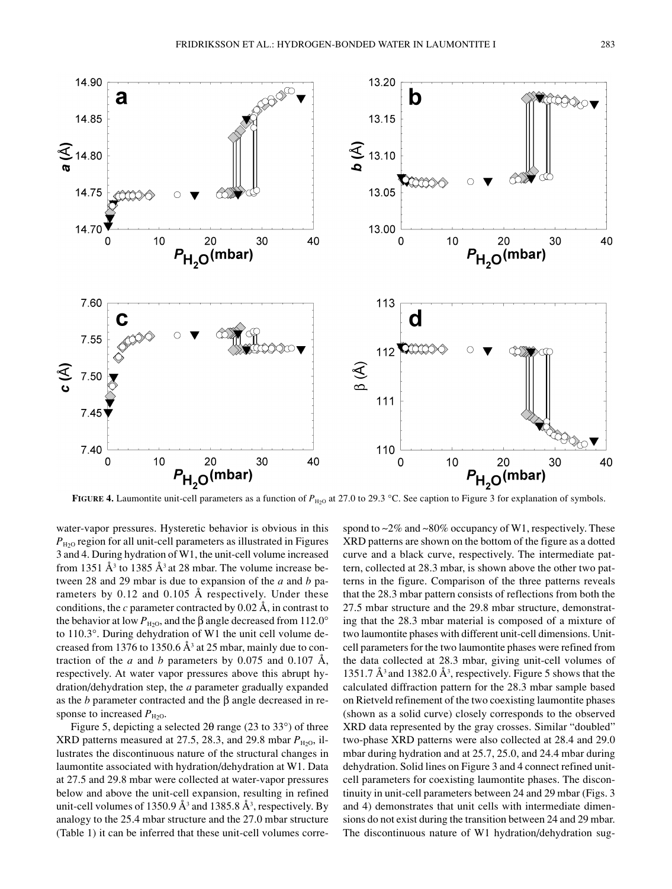

**FIGURE 4.** Laumontite unit-cell parameters as a function of  $P_{\text{H}_2O}$  at 27.0 to 29.3 °C. See caption to Figure 3 for explanation of symbols.

water-vapor pressures. Hysteretic behavior is obvious in this  $P_{H2O}$  region for all unit-cell parameters as illustrated in Figures 3 and 4. During hydration of W1, the unit-cell volume increased from 1351  $\AA^3$  to 1385  $\AA^3$  at 28 mbar. The volume increase between 28 and 29 mbar is due to expansion of the *a* and *b* parameters by 0.12 and 0.105 Å respectively. Under these conditions, the *c* parameter contracted by 0.02 Å, in contrast to the behavior at low  $P_{H2O}$ , and the  $\beta$  angle decreased from 112.0° to 110.3∞. During dehydration of W1 the unit cell volume decreased from 1376 to 1350.6  $\AA$ <sup>3</sup> at 25 mbar, mainly due to contraction of the *a* and *b* parameters by 0.075 and 0.107 Å, respectively. At water vapor pressures above this abrupt hydration/dehydration step, the *a* parameter gradually expanded as the  $b$  parameter contracted and the  $\beta$  angle decreased in response to increased  $P_{\text{H}_2\text{O}}$ .

Figure 5, depicting a selected 2 $\theta$  range (23 to 33 $\degree$ ) of three XRD patterns measured at 27.5, 28.3, and 29.8 mbar  $P_{\text{H}_2\text{O}}$ , illustrates the discontinuous nature of the structural changes in laumontite associated with hydration/dehydration at W1. Data at 27.5 and 29.8 mbar were collected at water-vapor pressures below and above the unit-cell expansion, resulting in refined unit-cell volumes of 1350.9  $\AA$ <sup>3</sup> and 1385.8  $\AA$ <sup>3</sup>, respectively. By analogy to the 25.4 mbar structure and the 27.0 mbar structure (Table 1) it can be inferred that these unit-cell volumes correspond to  $\sim$ 2% and  $\sim$ 80% occupancy of W1, respectively. These XRD patterns are shown on the bottom of the figure as a dotted curve and a black curve, respectively. The intermediate pattern, collected at 28.3 mbar, is shown above the other two patterns in the figure. Comparison of the three patterns reveals that the 28.3 mbar pattern consists of reflections from both the 27.5 mbar structure and the 29.8 mbar structure, demonstrating that the 28.3 mbar material is composed of a mixture of two laumontite phases with different unit-cell dimensions. Unitcell parameters for the two laumontite phases were refined from the data collected at 28.3 mbar, giving unit-cell volumes of 1351.7  $\AA^3$  and 1382.0  $\AA^3$ , respectively. Figure 5 shows that the calculated diffraction pattern for the 28.3 mbar sample based on Rietveld refinement of the two coexisting laumontite phases (shown as a solid curve) closely corresponds to the observed XRD data represented by the gray crosses. Similar "doubled" two-phase XRD patterns were also collected at 28.4 and 29.0 mbar during hydration and at 25.7, 25.0, and 24.4 mbar during dehydration. Solid lines on Figure 3 and 4 connect refined unitcell parameters for coexisting laumontite phases. The discontinuity in unit-cell parameters between 24 and 29 mbar (Figs. 3 and 4) demonstrates that unit cells with intermediate dimensions do not exist during the transition between 24 and 29 mbar. The discontinuous nature of W1 hydration/dehydration sug-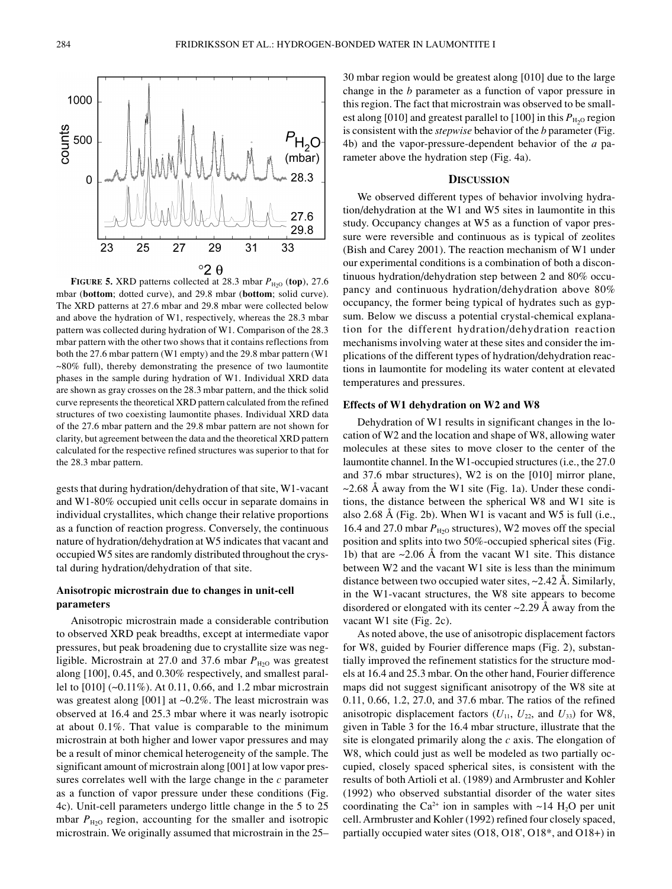**FIGURE 5.** XRD patterns collected at 28.3 mbar  $P_{\text{H}_2\text{O}}$  (top), 27.6 mbar (**bottom**; dotted curve), and 29.8 mbar (**bottom**; solid curve). The XRD patterns at 27.6 mbar and 29.8 mbar were collected below and above the hydration of W1, respectively, whereas the 28.3 mbar pattern was collected during hydration of W1. Comparison of the 28.3 mbar pattern with the other two shows that it contains reflections from both the 27.6 mbar pattern (W1 empty) and the 29.8 mbar pattern (W1  $\sim$ 80% full), thereby demonstrating the presence of two laumontite phases in the sample during hydration of W1. Individual XRD data are shown as gray crosses on the 28.3 mbar pattern, and the thick solid curve represents the theoretical XRD pattern calculated from the refined structures of two coexisting laumontite phases. Individual XRD data of the 27.6 mbar pattern and the 29.8 mbar pattern are not shown for clarity, but agreement between the data and the theoretical XRD pattern calculated for the respective refined structures was superior to that for the 28.3 mbar pattern.

gests that during hydration/dehydration of that site, W1-vacant and W1-80% occupied unit cells occur in separate domains in individual crystallites, which change their relative proportions as a function of reaction progress. Conversely, the continuous nature of hydration/dehydration at W5 indicates that vacant and occupied W5 sites are randomly distributed throughout the crystal during hydration/dehydration of that site.

#### **Anisotropic microstrain due to changes in unit-cell parameters**

Anisotropic microstrain made a considerable contribution to observed XRD peak breadths, except at intermediate vapor pressures, but peak broadening due to crystallite size was negligible. Microstrain at 27.0 and 37.6 mbar  $P_{\text{H}_2\text{O}}$  was greatest along [100], 0.45, and 0.30% respectively, and smallest parallel to [010] (~0.11%). At 0.11, 0.66, and 1.2 mbar microstrain was greatest along [001] at ~0.2%. The least microstrain was observed at 16.4 and 25.3 mbar where it was nearly isotropic at about 0.1%. That value is comparable to the minimum microstrain at both higher and lower vapor pressures and may be a result of minor chemical heterogeneity of the sample. The significant amount of microstrain along [001] at low vapor pressures correlates well with the large change in the *c* parameter as a function of vapor pressure under these conditions (Fig. 4c). Unit-cell parameters undergo little change in the 5 to 25 mbar  $P_{H2O}$  region, accounting for the smaller and isotropic microstrain. We originally assumed that microstrain in the 25– 30 mbar region would be greatest along [010] due to the large change in the *b* parameter as a function of vapor pressure in this region. The fact that microstrain was observed to be smallest along [010] and greatest parallel to [100] in this  $P_{\text{H}_2O}$  region is consistent with the *stepwise* behavior of the *b* parameter (Fig. 4b) and the vapor-pressure-dependent behavior of the *a* parameter above the hydration step (Fig. 4a).

#### **DISCUSSION**

We observed different types of behavior involving hydration/dehydration at the W1 and W5 sites in laumontite in this study. Occupancy changes at W5 as a function of vapor pressure were reversible and continuous as is typical of zeolites (Bish and Carey 2001). The reaction mechanism of W1 under our experimental conditions is a combination of both a discontinuous hydration/dehydration step between 2 and 80% occupancy and continuous hydration/dehydration above 80% occupancy, the former being typical of hydrates such as gypsum. Below we discuss a potential crystal-chemical explanation for the different hydration/dehydration reaction mechanisms involving water at these sites and consider the implications of the different types of hydration/dehydration reactions in laumontite for modeling its water content at elevated temperatures and pressures.

#### **Effects of W1 dehydration on W2 and W8**

Dehydration of W1 results in significant changes in the location of W2 and the location and shape of W8, allowing water molecules at these sites to move closer to the center of the laumontite channel. In the W1-occupied structures (i.e., the 27.0 and 37.6 mbar structures), W2 is on the [010] mirror plane,  $\sim$ 2.68 Å away from the W1 site (Fig. 1a). Under these conditions, the distance between the spherical W8 and W1 site is also 2.68 Å (Fig. 2b). When W1 is vacant and W5 is full (i.e., 16.4 and 27.0 mbar  $P_{\text{H}_2\text{O}}$  structures), W2 moves off the special position and splits into two 50%-occupied spherical sites (Fig. 1b) that are  $\sim$ 2.06 Å from the vacant W1 site. This distance between W2 and the vacant W1 site is less than the minimum distance between two occupied water sites, ~2.42 Å. Similarly, in the W1-vacant structures, the W8 site appears to become disordered or elongated with its center  $\sim$ 2.29 Å away from the vacant W1 site (Fig. 2c).

As noted above, the use of anisotropic displacement factors for W8, guided by Fourier difference maps (Fig. 2), substantially improved the refinement statistics for the structure models at 16.4 and 25.3 mbar. On the other hand, Fourier difference maps did not suggest significant anisotropy of the W8 site at 0.11, 0.66, 1.2, 27.0, and 37.6 mbar. The ratios of the refined anisotropic displacement factors  $(U_{11}, U_{22}, \text{ and } U_{33})$  for W8, given in Table 3 for the 16.4 mbar structure, illustrate that the site is elongated primarily along the *c* axis. The elongation of W8, which could just as well be modeled as two partially occupied, closely spaced spherical sites, is consistent with the results of both Artioli et al. (1989) and Armbruster and Kohler (1992) who observed substantial disorder of the water sites coordinating the Ca<sup>2+</sup> ion in samples with  $\sim$ 14 H<sub>2</sub>O per unit cell. Armbruster and Kohler (1992) refined four closely spaced, partially occupied water sites (O18, O18', O18\*, and O18+) in

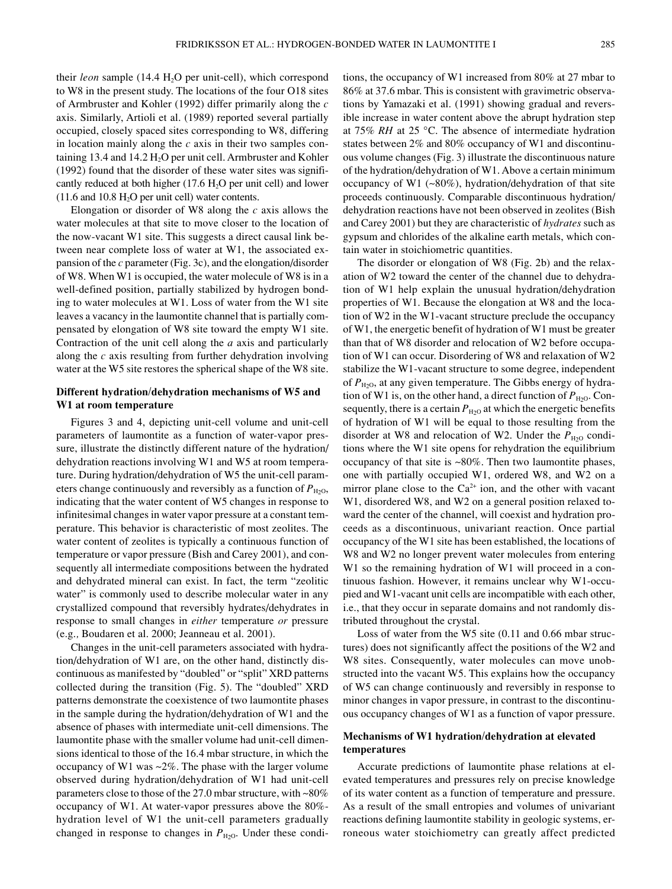their *leon* sample (14.4 H<sub>2</sub>O per unit-cell), which correspond to W8 in the present study. The locations of the four O18 sites of Armbruster and Kohler (1992) differ primarily along the *c* axis. Similarly, Artioli et al. (1989) reported several partially occupied, closely spaced sites corresponding to W8, differing in location mainly along the *c* axis in their two samples containing 13.4 and 14.2  $H<sub>2</sub>O$  per unit cell. Armbruster and Kohler (1992) found that the disorder of these water sites was significantly reduced at both higher  $(17.6 \text{ H}_2\text{O}$  per unit cell) and lower  $(11.6$  and  $10.8$  H<sub>2</sub>O per unit cell) water contents.

Elongation or disorder of W8 along the *c* axis allows the water molecules at that site to move closer to the location of the now-vacant W1 site. This suggests a direct causal link between near complete loss of water at W1, the associated expansion of the *c* parameter (Fig. 3c), and the elongation/disorder of W8. When W1 is occupied, the water molecule of W8 is in a well-defined position, partially stabilized by hydrogen bonding to water molecules at W1. Loss of water from the W1 site leaves a vacancy in the laumontite channel that is partially compensated by elongation of W8 site toward the empty W1 site. Contraction of the unit cell along the *a* axis and particularly along the *c* axis resulting from further dehydration involving water at the W5 site restores the spherical shape of the W8 site.

## **Different hydration/dehydration mechanisms of W5 and W1 at room temperature**

Figures 3 and 4, depicting unit-cell volume and unit-cell parameters of laumontite as a function of water-vapor pressure, illustrate the distinctly different nature of the hydration/ dehydration reactions involving W1 and W5 at room temperature. During hydration/dehydration of W5 the unit-cell parameters change continuously and reversibly as a function of  $P_{H_2O}$ , indicating that the water content of W5 changes in response to infinitesimal changes in water vapor pressure at a constant temperature. This behavior is characteristic of most zeolites. The water content of zeolites is typically a continuous function of temperature or vapor pressure (Bish and Carey 2001), and consequently all intermediate compositions between the hydrated and dehydrated mineral can exist. In fact, the term "zeolitic water" is commonly used to describe molecular water in any crystallized compound that reversibly hydrates/dehydrates in response to small changes in *either* temperature *or* pressure (e.g.*,* Boudaren et al. 2000; Jeanneau et al. 2001).

Changes in the unit-cell parameters associated with hydration/dehydration of W1 are, on the other hand, distinctly discontinuous as manifested by "doubled" or "split" XRD patterns collected during the transition (Fig. 5). The "doubled" XRD patterns demonstrate the coexistence of two laumontite phases in the sample during the hydration/dehydration of W1 and the absence of phases with intermediate unit-cell dimensions. The laumontite phase with the smaller volume had unit-cell dimensions identical to those of the 16.4 mbar structure, in which the occupancy of W1 was  $\sim$ 2%. The phase with the larger volume observed during hydration/dehydration of W1 had unit-cell parameters close to those of the 27.0 mbar structure, with ~80% occupancy of W1. At water-vapor pressures above the 80% hydration level of W1 the unit-cell parameters gradually changed in response to changes in  $P_{\text{H}_2\text{O}}$ . Under these conditions, the occupancy of W1 increased from 80% at 27 mbar to 86% at 37.6 mbar. This is consistent with gravimetric observations by Yamazaki et al. (1991) showing gradual and reversible increase in water content above the abrupt hydration step at 75% *RH* at 25 ∞C. The absence of intermediate hydration states between 2% and 80% occupancy of W1 and discontinuous volume changes (Fig. 3) illustrate the discontinuous nature of the hydration/dehydration of W1. Above a certain minimum occupancy of W1 (~80%), hydration/dehydration of that site proceeds continuously. Comparable discontinuous hydration/ dehydration reactions have not been observed in zeolites (Bish and Carey 2001) but they are characteristic of *hydrates* such as gypsum and chlorides of the alkaline earth metals, which contain water in stoichiometric quantities.

The disorder or elongation of W8 (Fig. 2b) and the relaxation of W2 toward the center of the channel due to dehydration of W1 help explain the unusual hydration/dehydration properties of W1. Because the elongation at W8 and the location of W2 in the W1-vacant structure preclude the occupancy of W1, the energetic benefit of hydration of W1 must be greater than that of W8 disorder and relocation of W2 before occupation of W1 can occur. Disordering of W8 and relaxation of W2 stabilize the W1-vacant structure to some degree, independent of  $P_{H2O}$ , at any given temperature. The Gibbs energy of hydration of W1 is, on the other hand, a direct function of  $P_{\text{H}_2O}$ . Consequently, there is a certain  $P_{\text{H}_2\text{O}}$  at which the energetic benefits of hydration of W1 will be equal to those resulting from the disorder at W8 and relocation of W2. Under the  $P_{\text{H}_2O}$  conditions where the W1 site opens for rehydration the equilibrium occupancy of that site is ~80%. Then two laumontite phases, one with partially occupied W1, ordered W8, and W2 on a mirror plane close to the  $Ca<sup>2+</sup>$  ion, and the other with vacant W1, disordered W8, and W2 on a general position relaxed toward the center of the channel, will coexist and hydration proceeds as a discontinuous, univariant reaction. Once partial occupancy of the W1 site has been established, the locations of W8 and W2 no longer prevent water molecules from entering W1 so the remaining hydration of W1 will proceed in a continuous fashion. However, it remains unclear why W1-occupied and W1-vacant unit cells are incompatible with each other, i.e., that they occur in separate domains and not randomly distributed throughout the crystal.

Loss of water from the W5 site (0.11 and 0.66 mbar structures) does not significantly affect the positions of the W2 and W8 sites. Consequently, water molecules can move unobstructed into the vacant W5. This explains how the occupancy of W5 can change continuously and reversibly in response to minor changes in vapor pressure, in contrast to the discontinuous occupancy changes of W1 as a function of vapor pressure.

# **Mechanisms of W1 hydration/dehydration at elevated temperatures**

Accurate predictions of laumontite phase relations at elevated temperatures and pressures rely on precise knowledge of its water content as a function of temperature and pressure. As a result of the small entropies and volumes of univariant reactions defining laumontite stability in geologic systems, erroneous water stoichiometry can greatly affect predicted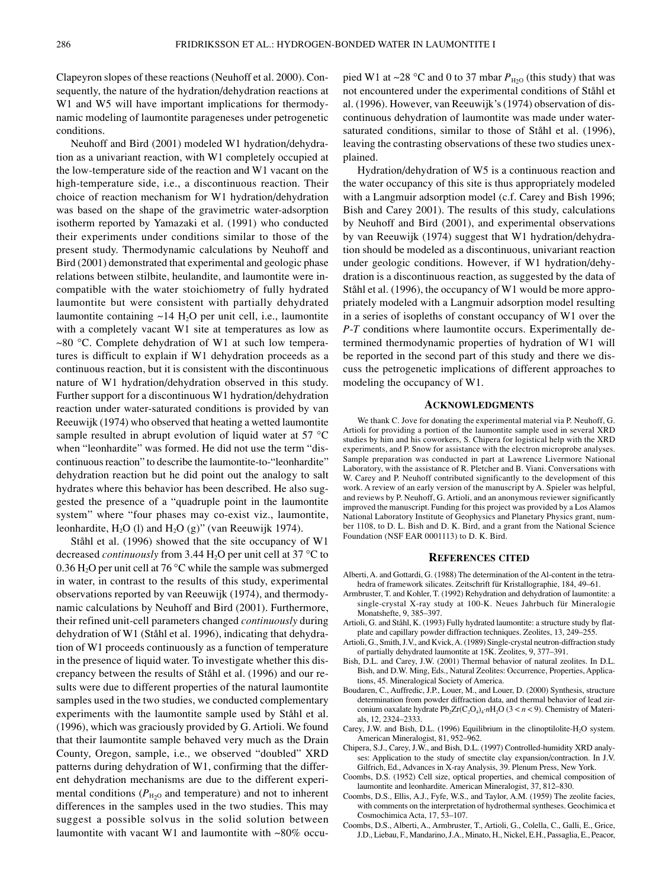Clapeyron slopes of these reactions (Neuhoff et al. 2000). Consequently, the nature of the hydration/dehydration reactions at W1 and W5 will have important implications for thermodynamic modeling of laumontite parageneses under petrogenetic conditions.

Neuhoff and Bird (2001) modeled W1 hydration/dehydration as a univariant reaction, with W1 completely occupied at the low-temperature side of the reaction and W1 vacant on the high-temperature side, i.e., a discontinuous reaction. Their choice of reaction mechanism for W1 hydration/dehydration was based on the shape of the gravimetric water-adsorption isotherm reported by Yamazaki et al. (1991) who conducted their experiments under conditions similar to those of the present study. Thermodynamic calculations by Neuhoff and Bird (2001) demonstrated that experimental and geologic phase relations between stilbite, heulandite, and laumontite were incompatible with the water stoichiometry of fully hydrated laumontite but were consistent with partially dehydrated laumontite containing  $\sim$ 14 H<sub>2</sub>O per unit cell, i.e., laumontite with a completely vacant W1 site at temperatures as low as ~80 ∞C. Complete dehydration of W1 at such low temperatures is difficult to explain if W1 dehydration proceeds as a continuous reaction, but it is consistent with the discontinuous nature of W1 hydration/dehydration observed in this study. Further support for a discontinuous W1 hydration/dehydration reaction under water-saturated conditions is provided by van Reeuwijk (1974) who observed that heating a wetted laumontite sample resulted in abrupt evolution of liquid water at 57  $^{\circ}$ C when "leonhardite" was formed. He did not use the term "discontinuous reaction" to describe the laumontite-to-"leonhardite" dehydration reaction but he did point out the analogy to salt hydrates where this behavior has been described. He also suggested the presence of a "quadruple point in the laumontite system" where "four phases may co-exist viz., laumontite, leonhardite,  $H_2O$  (l) and  $H_2O$  (g)" (van Reeuwijk 1974).

Ståhl et al. (1996) showed that the site occupancy of W1 decreased *continuously* from 3.44 H<sub>2</sub>O per unit cell at 37 °C to 0.36 H<sub>2</sub>O per unit cell at 76 °C while the sample was submerged in water, in contrast to the results of this study, experimental observations reported by van Reeuwijk (1974), and thermodynamic calculations by Neuhoff and Bird (2001). Furthermore, their refined unit-cell parameters changed *continuously* during dehydration of W1 (Ståhl et al. 1996), indicating that dehydration of W1 proceeds continuously as a function of temperature in the presence of liquid water. To investigate whether this discrepancy between the results of Ståhl et al. (1996) and our results were due to different properties of the natural laumontite samples used in the two studies, we conducted complementary experiments with the laumontite sample used by Ståhl et al. (1996), which was graciously provided by G. Artioli. We found that their laumontite sample behaved very much as the Drain County, Oregon, sample, i.e.*,* we observed "doubled" XRD patterns during dehydration of W1, confirming that the different dehydration mechanisms are due to the different experimental conditions ( $P_{H2O}$  and temperature) and not to inherent differences in the samples used in the two studies. This may suggest a possible solvus in the solid solution between laumontite with vacant W1 and laumontite with ~80% occupied W1 at ~28 °C and 0 to 37 mbar  $P_{\text{H}_2\text{O}}$  (this study) that was not encountered under the experimental conditions of Ståhl et al. (1996). However, van Reeuwijk's (1974) observation of discontinuous dehydration of laumontite was made under watersaturated conditions, similar to those of Ståhl et al. (1996), leaving the contrasting observations of these two studies unexplained.

Hydration/dehydration of W5 is a continuous reaction and the water occupancy of this site is thus appropriately modeled with a Langmuir adsorption model (c.f. Carey and Bish 1996; Bish and Carey 2001). The results of this study, calculations by Neuhoff and Bird (2001), and experimental observations by van Reeuwijk (1974) suggest that W1 hydration/dehydration should be modeled as a discontinuous, univariant reaction under geologic conditions. However, if W1 hydration/dehydration is a discontinuous reaction, as suggested by the data of Ståhl et al. (1996), the occupancy of W1 would be more appropriately modeled with a Langmuir adsorption model resulting in a series of isopleths of constant occupancy of W1 over the *P*-*T* conditions where laumontite occurs. Experimentally determined thermodynamic properties of hydration of W1 will be reported in the second part of this study and there we discuss the petrogenetic implications of different approaches to modeling the occupancy of W1.

#### **ACKNOWLEDGMENTS**

We thank C. Jove for donating the experimental material via P. Neuhoff, G. Artioli for providing a portion of the laumontite sample used in several XRD studies by him and his coworkers, S. Chipera for logistical help with the XRD experiments, and P. Snow for assistance with the electron microprobe analyses. Sample preparation was conducted in part at Lawrence Livermore National Laboratory, with the assistance of R. Pletcher and B. Viani. Conversations with W. Carey and P. Neuhoff contributed significantly to the development of this work. A review of an early version of the manuscript by A. Spieler was helpful, and reviews by P. Neuhoff, G. Artioli, and an anonymous reviewer significantly improved the manuscript. Funding for this project was provided by a Los Alamos National Laboratory Institute of Geophysics and Planetary Physics grant, number 1108, to D. L. Bish and D. K. Bird, and a grant from the National Science Foundation (NSF EAR 0001113) to D. K. Bird.

#### **REFERENCES CITED**

- Alberti, A. and Gottardi, G. (1988) The determination of the Al-content in the tetrahedra of framework silicates. Zeitschrift für Kristallographie, 184, 49–61.
- Armbruster, T. and Kohler, T. (1992) Rehydration and dehydration of laumontite: a single-crystal X-ray study at 100-K. Neues Jahrbuch für Mineralogie Monatshefte, 9, 385–397.
- Artioli, G. and Ståhl, K. (1993) Fully hydrated laumontite: a structure study by flatplate and capillary powder diffraction techniques. Zeolites, 13, 249–255.
- Artioli, G., Smith, J.V., and Kvick, A. (1989) Single-crystal neutron-diffraction study of partially dehydrated laumontite at 15K. Zeolites, 9, 377–391.
- Bish, D.L. and Carey, J.W. (2001) Thermal behavior of natural zeolites. In D.L. Bish, and D.W. Ming, Eds., Natural Zeolites: Occurrence, Properties, Applications, 45. Mineralogical Society of America.
- Boudaren, C., Auffredic, J.P., Louer, M., and Louer, D. (2000) Synthesis, structure determination from powder diffraction data, and thermal behavior of lead zirconium oaxalate hydrate Pb<sub>2</sub>Zr(C<sub>2</sub>O<sub>4</sub>)<sub>4</sub>·*n*H<sub>2</sub>O (3 < *n* < 9). Chemistry of Materials, 12, 2324–2333.
- Carey, J.W. and Bish, D.L. (1996) Equilibrium in the clinoptilolite-H<sub>2</sub>O system. American Mineralogist, 81, 952–962.
- Chipera, S.J., Carey, J.W., and Bish, D.L. (1997) Controlled-humidity XRD analyses: Application to the study of smectite clay expansion/contraction. In J.V. Gilfrich, Ed., Advances in X-ray Analysis, 39. Plenum Press, New York.
- Coombs, D.S. (1952) Cell size, optical properties, and chemical composition of laumontite and leonhardite. American Mineralogist, 37, 812–830.
- Coombs, D.S., Ellis, A.J., Fyfe, W.S., and Taylor, A.M. (1959) The zeolite facies, with comments on the interpretation of hydrothermal syntheses. Geochimica et Cosmochimica Acta, 17, 53–107.
- Coombs, D.S., Alberti, A., Armbruster, T., Artioli, G., Colella, C., Galli, E., Grice, J.D., Liebau, F., Mandarino, J.A., Minato, H., Nickel, E.H., Passaglia, E., Peacor,